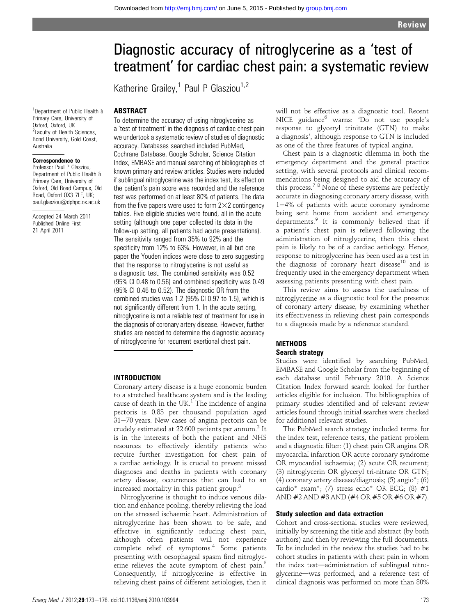# Diagnostic accuracy of nitroglycerine as a 'test of treatment' for cardiac chest pain: a systematic review

Katherine Grailey,<sup>1</sup> Paul P Glasziou<sup>1,2</sup>

<sup>1</sup>Department of Public Health & Primary Care, University of Oxford, Oxford, UK <sup>2</sup> Faculty of Health Sciences, Bond University, Gold Coast,

ABSTRACT

### Correspondence to

Australia

Professor Paul P Glasziou, Department of Public Health & Primary Care, University of Oxford, Old Road Campus, Old Road, Oxford OX3 7LF, UK; paul.glasziou@dphpc.ox.ac.uk

Accepted 24 March 2011 Published Online First 21 April 2011

To determine the accuracy of using nitroglycerine as a 'test of treatment' in the diagnosis of cardiac chest pain we undertook a systematic review of studies of diagnostic accuracy. Databases searched included PubMed, Cochrane Database, Google Scholar, Science Citation Index, EMBASE and manual searching of bibliographies of known primary and review articles. Studies were included if sublingual nitroglycerine was the index test, its effect on the patient's pain score was recorded and the reference test was performed on at least 80% of patients. The data from the five papers were used to form  $2\times2$  contingency tables. Five eligible studies were found, all in the acute setting (although one paper collected its data in the follow-up setting, all patients had acute presentations). The sensitivity ranged from 35% to 92% and the specificity from 12% to 63%. However, in all but one paper the Youden indices were close to zero suggesting that the response to nitroglycerine is not useful as a diagnostic test. The combined sensitivity was 0.52 (95% CI 0.48 to 0.56) and combined specificity was 0.49 (95% CI 0.46 to 0.52). The diagnostic OR from the combined studies was 1.2 (95% CI 0.97 to 1.5), which is not significantly different from 1. In the acute setting, nitroglycerine is not a reliable test of treatment for use in the diagnosis of coronary artery disease. However, further studies are needed to determine the diagnostic accuracy of nitroglycerine for recurrent exertional chest pain.

## INTRODUCTION

Coronary artery disease is a huge economic burden to a stretched healthcare system and is the leading cause of death in the UK.<sup>1</sup> The incidence of angina pectoris is 0.83 per thousand population aged  $31-70$  years. New cases of angina pectoris can be crudely estimated at 22 600 patients per annum.<sup>2</sup> It is in the interests of both the patient and NHS resources to effectively identify patients who require further investigation for chest pain of a cardiac aetiology. It is crucial to prevent missed diagnoses and deaths in patients with coronary artery disease, occurrences that can lead to an increased mortality in this patient group.<sup>3</sup>

Nitroglycerine is thought to induce venous dilation and enhance pooling, thereby relieving the load on the stressed ischaemic heart. Administration of nitroglycerine has been shown to be safe, and effective in significantly reducing chest pain, although often patients will not experience complete relief of symptoms.<sup>4</sup> Some patients presenting with oesophageal spasm find nitroglycerine relieves the acute symptom of chest pain.<sup>5</sup> Consequently, if nitroglycerine is effective in relieving chest pains of different aetiologies, then it

will not be effective as a diagnostic tool. Recent NICE guidance<sup>6</sup> warns: 'Do not use people's response to glyceryl trinitrate (GTN) to make a diagnosis', although response to GTN is included as one of the three features of typical angina.

Chest pain is a diagnostic dilemma in both the emergency department and the general practice setting, with several protocols and clinical recommendations being designed to aid the accuracy of this process.<sup>78</sup> None of these systems are perfectly accurate in diagnosing coronary artery disease, with  $1-4%$  of patients with acute coronary syndrome being sent home from accident and emergency departments.<sup>9</sup> It is commonly believed that if a patient's chest pain is relieved following the administration of nitroglycerine, then this chest pain is likely to be of a cardiac aetiology. Hence, response to nitroglycerine has been used as a test in the diagnosis of coronary heart disease<sup>10</sup> and is frequently used in the emergency department when assessing patients presenting with chest pain.

This review aims to assess the usefulness of nitroglycerine as a diagnostic tool for the presence of coronary artery disease, by examining whether its effectiveness in relieving chest pain corresponds to a diagnosis made by a reference standard.

# **METHODS**

# Search strategy

Studies were identified by searching PubMed, EMBASE and Google Scholar from the beginning of each database until February 2010. A Science Citation Index forward search looked for further articles eligible for inclusion. The bibliographies of primary studies identified and of relevant review articles found through initial searches were checked for additional relevant studies.

The PubMed search strategy included terms for the index test, reference tests, the patient problem and a diagnostic filter: (1) chest pain OR angina OR myocardial infarction OR acute coronary syndrome OR myocardial ischaemia; (2) acute OR recurrent; (3) nitroglycerin OR glyceryl tri-nitrate OR GTN; (4) coronary artery disease/diagnosis; (5) angio\*; (6) cardio\* exam\*; (7) stress echo\* OR ECG; (8) #1 AND #2 AND #3 AND (#4 OR #5 OR #6 OR #7).

# Study selection and data extraction

Cohort and cross-sectional studies were reviewed, initially by screening the title and abstract (by both authors) and then by reviewing the full documents. To be included in the review the studies had to be cohort studies in patients with chest pain in whom the index test-administration of sublingual nitroglycerine-was performed, and a reference test of clinical diagnosis was performed on more than 80%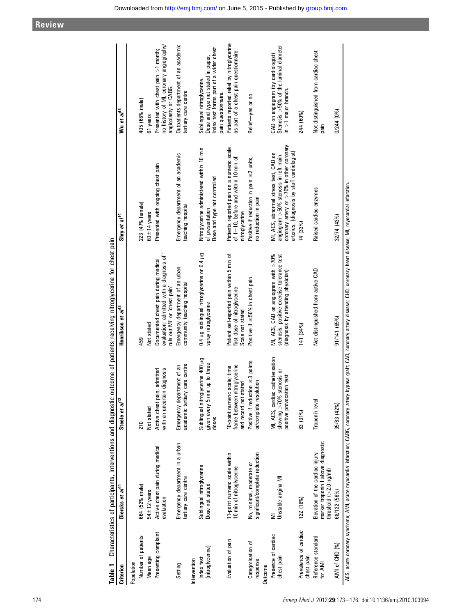| -<br>-<br>-<br>Criterion                        | Diercks et al <sup>11</sup>                                                                               | Steele et al <sup>12</sup>                                                                | university of the control of the control of the control of the control of the control of the control of the control of the control of the control of the control of the control of the control of the control of the control o<br>Henrikson et al <sup>13</sup> | Shry et al <sup>14</sup>                                                                                                                                                    | Wu et al <sup>18</sup>                                                                                                            |
|-------------------------------------------------|-----------------------------------------------------------------------------------------------------------|-------------------------------------------------------------------------------------------|-----------------------------------------------------------------------------------------------------------------------------------------------------------------------------------------------------------------------------------------------------------------|-----------------------------------------------------------------------------------------------------------------------------------------------------------------------------|-----------------------------------------------------------------------------------------------------------------------------------|
| Population                                      |                                                                                                           |                                                                                           |                                                                                                                                                                                                                                                                 |                                                                                                                                                                             |                                                                                                                                   |
| Number of patients                              | 664 (52% male)                                                                                            | 270                                                                                       | 459                                                                                                                                                                                                                                                             | 223 (47% female)                                                                                                                                                            | 405 (66% male)                                                                                                                    |
| Mean age                                        | $54 \pm 12$ years                                                                                         | Not stated                                                                                | Not stated                                                                                                                                                                                                                                                      | $60 + 14$ years                                                                                                                                                             | 61 years                                                                                                                          |
| Presenting complaint                            | Active chest pain during medical<br>evaluation                                                            | diagnosis<br>admitted<br>Active chest pain,<br>with an uncertain                          | evaluation; admitted with a diagnosis of<br>Documented chest pain during medical<br>rule out MI' or 'chest pain'                                                                                                                                                | Presented with ongoing chest pain                                                                                                                                           | no history of MI, coronary angiography/<br>Presented with chest pain $>1$ month;<br>angioplasty or CABG.                          |
| Setting                                         | Emergency department in a urban<br>tertiary care centre                                                   | care centre<br>Emergency department of an<br>academic tertiary                            | Emergency department of an urban<br>community teaching hospital                                                                                                                                                                                                 | Emergency department of an academic<br>teaching hospital                                                                                                                    | Outpatients department of an academic<br>tertiary care centre                                                                     |
| Intervention                                    |                                                                                                           |                                                                                           |                                                                                                                                                                                                                                                                 |                                                                                                                                                                             |                                                                                                                                   |
| (nitroglycerine)<br>Index test                  | Sublingual nitroglycerine<br>Dose not stated                                                              | Sublingual nitroglycerine 400 µg<br>up to three<br>given every 5 min<br>doses             | 0.4 µg sublingual nitroglycerine or 0.4 µg<br>spray nitroglycerine                                                                                                                                                                                              | Nitroglycerine administered within 10 min<br>Dose and type not controlled<br>of presentation                                                                                | Index test forms part of a wider chest<br>Dose and type not stated in paper.<br>Sublingual nitroglycerine.<br>pain questionnaire. |
| Evaluation of pain                              | 11-point numeric scale within<br>10 min of nitroglycerine                                                 | frame between nitroglycerine<br>10-point numeric scale; time<br>and record not stated     | Patient self-reported pain within 5 min of<br>first dose of nitroglycerine<br>Scale not stated                                                                                                                                                                  | Patients reported pain on a numeric scale<br>of 1–10, before and within 10 min of<br>nitroglycerine                                                                         | Patients reported relief by nitroglycerine<br>as part of a chest pain questionnaire.                                              |
| Categorisation of<br>response<br><b>Outcome</b> | significant/complete reduction<br>No, minimal, moderate or                                                | Positive if reduction $\geq$ 3 points<br>or/complete resolution                           | Positive if ≥50% in chest pain                                                                                                                                                                                                                                  | Positive if reduction in pain $\geq$ 2 units,<br>no reduction in pain                                                                                                       | Relief-yes or no                                                                                                                  |
| Presence of cardiac<br>chest pain               | Unstable angina MI<br>₹                                                                                   | MI, ACS, cardiac catheterisation<br>showing >70% stenosis or<br>positive provocation test | MI, ACS, CAD on angiogram with >70%<br>stenosis, positive exercise tolerance test<br>(diagnosis by attending physician)                                                                                                                                         | coronary artery or $>$ 70% in other coronary<br>MI, ACS, abnormal stress test, CAD on<br>arteries, (diagnosis by staff cardiologist<br>angiogram >50% stenosis in left main | Stenosis $>50\%$ of the luminal diameter<br>CAD on angiogram (by cardiologist)<br>$in > 1$ major branch.                          |
| Prevalence of cardiac<br>chest pain             | 122 (18%)                                                                                                 | 83 (31%)                                                                                  | 141 (34%)                                                                                                                                                                                                                                                       | 74 (33%)                                                                                                                                                                    | 244 (60%)                                                                                                                         |
| Reference standard<br>for AMI                   | marker troponin I above diagnostic<br>Elevation of the cardiac injury<br>threshold $(>2.0 \text{ ng/ml})$ | Troponin level                                                                            | Not distinguished from active CAD                                                                                                                                                                                                                               | Raised cardiac enzymes                                                                                                                                                      | Not distinguished from cardiac chest<br>pain                                                                                      |
| AMI of CHD (%)                                  | 68/122 (56%)                                                                                              | 35/83 (42%)                                                                               | 91/141 (65%)                                                                                                                                                                                                                                                    | 32/74 (43%)                                                                                                                                                                 | $0/244$ $(0\%)$                                                                                                                   |
|                                                 |                                                                                                           |                                                                                           | ACS, acute coronary syndrome; AMI, acute myocardial infarction; CABG, coronary artery bypass graft; CAD, coronary artery disease; CHD, coronary heart disease; MI, myocardial infarction.                                                                       |                                                                                                                                                                             |                                                                                                                                   |

Characteristics of participants, interventions and diagnostic outcome of patients receiving pitroglycering for chest pain Table 1 Characteristics of participants, interventions and diagnostic outcome of patients receiving nitroglycerine for chest pain

Downloaded from<http://emj.bmj.com/>on June 5, 2015 - Published by [group.bmj.com](http://group.bmj.com)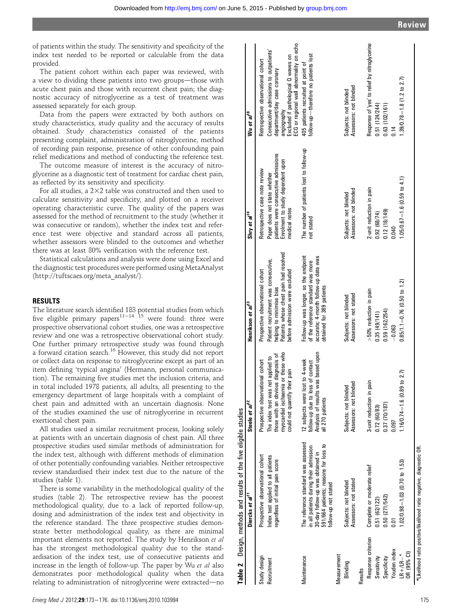of patients within the study. The sensitivity and specificity of the index test needed to be reported or calculable from the data provided.

The patient cohort within each paper was reviewed, with a view to dividing these patients into two groups—those with acute chest pain and those with recurrent chest pain; the diagnostic accuracy of nitroglycerine as a test of treatment was assessed separately for each group.

Data from the papers were extracted by both authors on study characteristics, study quality and the accuracy of results obtained. Study characteristics consisted of the patients presenting complaint, administration of nitroglycerine, method of recording pain response, presence of other confounding pain relief medications and method of conducting the reference test.

The outcome measure of interest is the accuracy of nitroglycerine as a diagnostic test of treatment for cardiac chest pain, as reflected by its sensitivity and specificity.

For all studies, a  $2\times 2$  table was constructed and then used to calculate sensitivity and specificity, and plotted on a receiver operating characteristic curve. The quality of the papers was assessed for the method of recruitment to the study (whether it was consecutive or random), whether the index test and reference test were objective and standard across all patients, whether assessors were blinded to the outcomes and whether there was at least 80% verification with the reference test.

Statistical calculations and analysis were done using Excel and the diagnostic test procedures were performed using MetaAnalyst (http://tuftscaes.org/meta\_analyst/).

# RESULTS

The literature search identified 183 potential studies from which<br>five eligible primary papers<sup>11–14 15</sup> were found: three were prospective observational cohort studies, one was a retrospective review and one was a retrospective observational cohort study. One further primary retrospective study was found through a forward citation search.<sup>16</sup> However, this study did not report or collect data on response to nitroglycerine except as part of an item defining 'typical angina' (Hermann, personal communication). The remaining five studies met the inclusion criteria, and in total included 1978 patients, all adults, all presenting to the emergency department of large hospitals with a complaint of chest pain and admitted with an uncertain diagnosis. None of the studies examined the use of nitroglycerine in recurrent exertional chest pain.

All studies used a similar recruitment process, looking solely at patients with an uncertain diagnosis of chest pain. All three prospective studies used similar methods of administration for the index test, although with different methods of elimination of other potentially confounding variables. Neither retrospective review standardised their index test due to the nature of the studies (table 1).

There is some variability in the methodological quality of the studies (table 2). The retrospective review has the poorest methodological quality, due to a lack of reported follow-up, dosing and administration of the index test and objectivity in the reference standard. The three prospective studies demonstrate better methodological quality, as there are minimal important elements not reported. The study by Henrikson et al has the strongest methodological quality due to the standardisation of the index test, use of consecutive patients and increase in the length of follow-up. The paper by Wu et al also demonstrates poor methodological quality when the data relating to administration of nitroglycerine were extracted-no

|                          | Table 2 Design, methods and results of the five eligible studies                                                                                                                   |                                                                                                                                                  |                                                                                                                                                  |                                                                                                                            |                                                                                                                                                                          |
|--------------------------|------------------------------------------------------------------------------------------------------------------------------------------------------------------------------------|--------------------------------------------------------------------------------------------------------------------------------------------------|--------------------------------------------------------------------------------------------------------------------------------------------------|----------------------------------------------------------------------------------------------------------------------------|--------------------------------------------------------------------------------------------------------------------------------------------------------------------------|
|                          | Diercks et al <sup>11</sup>                                                                                                                                                        | Steele et al <sup>12</sup>                                                                                                                       | Henrikson et al <sup>13</sup>                                                                                                                    | Shry et al <sup>14</sup>                                                                                                   | Wu et al <sup>18</sup>                                                                                                                                                   |
| Study design             | Prospective observational cohort                                                                                                                                                   | Prospective observational cohort                                                                                                                 | Prospective observational cohort                                                                                                                 | Retrospective case note review                                                                                             | Retrospective observational cohort                                                                                                                                       |
| Recruitment              | Index test applied to all patients<br>regardless of initial pain score                                                                                                             | myocardial ischaemia or those who<br>those with an obvious diagnosis of<br>The index test was not applied to<br>their pain<br>could not quantify | Patients whose chest pain had resolved<br>Patient recruitment was consecutive,<br>before admission were excluded<br>helping to minimise bias     | patients were consecutive admissions<br>Enrolment to study dependent upon<br>Paper does not state whether<br>medical notes | ECG or regional wall abnormality on echo<br>Consecutive admissions to outpatients'<br>Excluded if pathological Q waves on<br>department/day case coronary<br>Audeuboidue |
| Maintenance              | The reference standard was assessed<br>591/664 patients; reasons for loss to<br>in all patients during their admission<br>30-day follow-up was obtained in<br>follow-up not stated | Analysis of results was based upon<br>lost to 4-week<br>follow-up due to loss of contact<br>12 subjects were<br>all 270 patients                 | Follow-up was longer, so the endpoint<br>accurate; 4-month follow-up data was<br>of the reference standard was more<br>obtained for 389 patients | The number of patients lost to follow-up<br>not stated                                                                     | follow-up-therefore no patients lost<br>405 patients recruited at point of                                                                                               |
| Measurement              |                                                                                                                                                                                    |                                                                                                                                                  |                                                                                                                                                  |                                                                                                                            |                                                                                                                                                                          |
| Blinding                 | Assessors: not stated<br>Subjects: not blinded                                                                                                                                     | nded<br>Subjects: not blinded<br>Assessors: not bli.                                                                                             | Assessors: not stated<br>Subjects: not blinded                                                                                                   | Assessors: not blinded<br>Subjects: not blinded                                                                            | Assessors: not blinded<br>Subjects: not blinded                                                                                                                          |
| Results                  |                                                                                                                                                                                    |                                                                                                                                                  |                                                                                                                                                  |                                                                                                                            |                                                                                                                                                                          |
| Response criterion       | Complete or moderate relief                                                                                                                                                        | pain<br>3-unit reduction in                                                                                                                      | >50% reduction in pain                                                                                                                           | 2-unit reduction in pain                                                                                                   | Response of 'yes' to relief by nitroglycerine                                                                                                                            |
| Sensitivity              | 0.51(62/122)                                                                                                                                                                       | 0.72(60/83)                                                                                                                                      | 0.35(49/141)                                                                                                                                     | 0.92(68/74)                                                                                                                | 0.51(124/244)                                                                                                                                                            |
| Specificity              | 0.50 (271/542)                                                                                                                                                                     | 0.37 (70/187)                                                                                                                                    | 0.59(162/254)                                                                                                                                    | 0.12(18/149)                                                                                                               | 0.63(102/161)                                                                                                                                                            |
| Youden index             | $\overline{5}$                                                                                                                                                                     | 0.097                                                                                                                                            | $-0.063$                                                                                                                                         | 0.040                                                                                                                      | 0.14                                                                                                                                                                     |
| OR (95% CI)<br>$LR+/LR-$ | $1.02/0.98 = 1.03$ (0.70 to 1.53)                                                                                                                                                  | $1.16/0.74 = 1.6(0.89 \text{ to } 2.7)$                                                                                                          | $0.85/1.1 = 0.76$ (0.50 to 1.2)                                                                                                                  | $1.05/0.67 = 1.6$ (0.59 to 4.1)                                                                                            | $1.39/0.78 = 1.8$ (1.2 to 2.7)                                                                                                                                           |
|                          |                                                                                                                                                                                    |                                                                                                                                                  |                                                                                                                                                  |                                                                                                                            |                                                                                                                                                                          |

<sup>\*</sup>Likelihood ratio positive/likelihood ratio negative, diagnostic OR. Likelihood ratio positive/likelihood ratio negative, diagnostic OR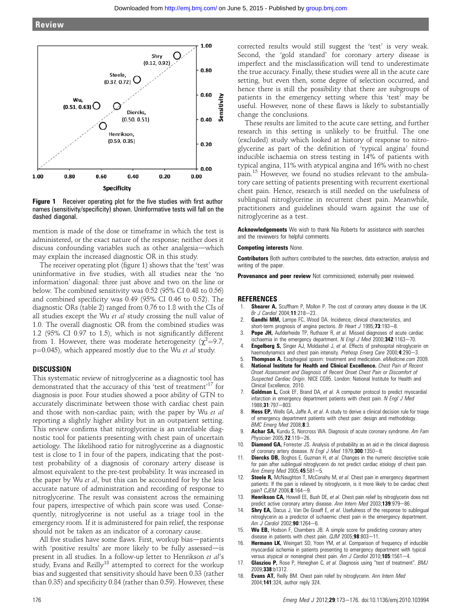

**Figure 1** Receiver operating plot for the five studies with first author names (sensitivity/specificity) shown. Uninformative tests will fall on the dashed diagonal.

mention is made of the dose or timeframe in which the test is administered, or the exact nature of the response; neither does it discuss confounding variables such as other analgesia-which may explain the increased diagnostic OR in this study.

The receiver operating plot (figure 1) shows that the 'test' was uninformative in five studies, with all studies near the 'no information' diagonal: three just above and two on the line or below. The combined sensitivity was 0.52 (95% CI 0.48 to 0.56) and combined specificity was 0.49 (95% CI 0.46 to 0.52). The diagnostic ORs (table 2) ranged from 0.76 to 1.8 with the CIs of all studies except the Wu et al study crossing the null value of 1.0. The overall diagnostic OR from the combined studies was 1.2 (95% CI 0.97 to 1.5), which is not significantly different from 1. However, there was moderate heterogeneity ( $\chi^2$ =9.7, p=0.045), which appeared mostly due to the Wu et al study.

## **DISCUSSION**

This systematic review of nitroglycerine as a diagnostic tool has demonstrated that the accuracy of this 'test of treatment'<sup>17</sup> for diagnosis is poor. Four studies showed a poor ability of GTN to accurately discriminate between those with cardiac chest pain and those with non-cardiac pain; with the paper by Wu et al reporting a slightly higher ability but in an outpatient setting. This review confirms that nitroglycerine is an unreliable diagnostic tool for patients presenting with chest pain of uncertain aetiology. The likelihood ratio for nitroglycerine as a diagnostic test is close to 1 in four of the papers, indicating that the posttest probability of a diagnosis of coronary artery disease is almost equivalent to the pre-test probability. It was increased in the paper by Wu et al, but this can be accounted for by the less accurate nature of administration and recording of response to nitroglycerine. The result was consistent across the remaining four papers, irrespective of which pain score was used. Consequently, nitroglycerine is not useful as a triage tool in the emergency room. If it is administered for pain relief, the response should not be taken as an indicator of a coronary cause.

All five studies have some flaws. First, workup bias—patients with 'positive results' are more likely to be fully assessed-is present in all studies. In a follow-up letter to Henrikson et al's study, Evans and Reilly<sup>18</sup> attempted to correct for the workup bias and suggested that sensitivity should have been 0.33 (rather than 0.35) and specificity 0.84 (rather than 0.59). However, these

corrected results would still suggest the 'test' is very weak. Second, the 'gold standard' for coronary artery disease is imperfect and the misclassification will tend to underestimate the true accuracy. Finally, these studies were all in the acute care setting, but even then, some degree of selection occurred, and hence there is still the possibility that there are subgroups of patients in the emergency setting where this 'test' may be useful. However, none of these flaws is likely to substantially change the conclusions.

These results are limited to the acute care setting, and further research in this setting is unlikely to be fruitful. The one (excluded) study which looked at history of response to nitroglycerine as part of the definition of 'typical angina' found inducible ischaemia on stress testing in 14% of patients with typical angina, 11% with atypical angina and 16% with no chest pain.<sup>15</sup> However, we found no studies relevant to the ambulatory care setting of patients presenting with recurrent exertional chest pain. Hence, research is still needed on the usefulness of sublingual nitroglycerine in recurrent chest pain. Meanwhile, practitioners and guidelines should warn against the use of nitroglycerine as a test.

Acknowledgements We wish to thank Nia Roberts for assistance with searches and the reviewers for helpful comments.

### Competing interests None.

Contributors Both authors contributed to the searches, data extraction, analysis and writing of the paper.

**Provenance and peer review** Not commissioned; externally peer reviewed.

### **REFERENCES**

- 1. **Shearer A,** Scuffham P, Mollon P. The cost of coronary artery disease in the UK. Br J Cardiol 2004;11:218-23.
- Gandhi MM, Lampe FC, Wood DA. Incidence, clinical characteristics, and short-term prognosis of angina pectoris. Br Heart J 1995;73:193-8.
- 3. **Pope JH,** Aufderheide TP, Ruthazer R, et al. Missed diagnoses of acute cardiac ischaemia in the emergency department. N Engl J Med  $2000$ ; 342:1163-70.
- 4. **Engelberg S,** Singer AJ, Moldashel J, et al. Effects of prehospital nitroglycerin on haemodynamics and chest pain intensity. Prehosp Emerg Care 2000;4:290-3.
- 5. Thompson A. Esophageal spasm: treatment and medication. *eMedicine.com* 2009.<br>6. National Institute for Health and Clinical Excellence. *Chest Pain of Becent*
- National Institute for Health and Clinical Excellence. Chest Pain of Recent Onset Assessment and Diagnosis of Recent Onset Chest Pain or Discomfort of Suspected Cardiac Origin. NICE CG95. London: National Institute for Health and Clinical Excellence, 2010.
- Goldman L, Cook EF, Brand DA, et al. A computer protocol to predict myocardial infarction in emergency department patients with chest pain. N Engl J Med  $1988:31:797 - 803$
- 8. Hess EP, Wells GA, Jaffe A, et al. A study to derive a clinical decision rule for triage of emergency department patients with chest pain: design and methodology. BMC Emerg Med 2008;8:3.
- Achar SA, Kundu S, Norcross WA. Diagnosis of acute coronary syndrome. Am Fam Physician 2005:72:119-26.
- 10. **Diamond GA**, Forrester JS. Analysis of probability as an aid in the clinical diagnosis of coronary artery disease. N Engl J Med 1979;300:1350-8.
- Diercks DB, Boghos E, Guzman H, et al. Changes in the numeric descriptive scale for pain after sublingual nitroglycerin do not predict cardiac etiology of chest pain. Ann Emerg Med 2005;45:581-5.
- 12. Steele R, McNaughton T, McConahy M, et al. Chest pain in emergency department patients: If the pain is relieved by nitroglycerin, is it more likely to be cardiac chest pain? CJEM 2006;8:164-9.
- 13. Henrikson CA, Howell EE, Bush DE, et al. Chest pain relief by nitroglycerin does not predict active coronary artery disease. Ann Intern Med 2003;139:979-86.
- 14. Shry EA, Dacus J, Van De Graaff E, et al. Usefulness of the response to sublingual nitroglycerin as a predictor of ischaemic chest pain in the emergency department. Am  $\tilde{J}$  Cardiol 2002;90:1264-6.
- 15. Wu EB, Hodson F, Chambers JB. A simple score for predicting coronary artery disease in patients with chest pain.  $\alpha$ JM 2005;98:803-11.
- 16. Hermann LK, Weingart SD, Yoon YM, et al. Comparison of frequency of inducible myocardial ischemia in patients presenting to emergency department with typical versus atypical or nonanginal chest pain. Am J Cardiol 2010;105:1561-4.
- 17. Glasziou P, Rose P, Heneghan C, et al. Diagnosis using "test of treatment". BMJ 2009;338:b1312.
- 18. Evans AT, Reilly BM. Chest pain relief by nitroglycerin. Ann Intern Med 2004;141:324, author reply 324.